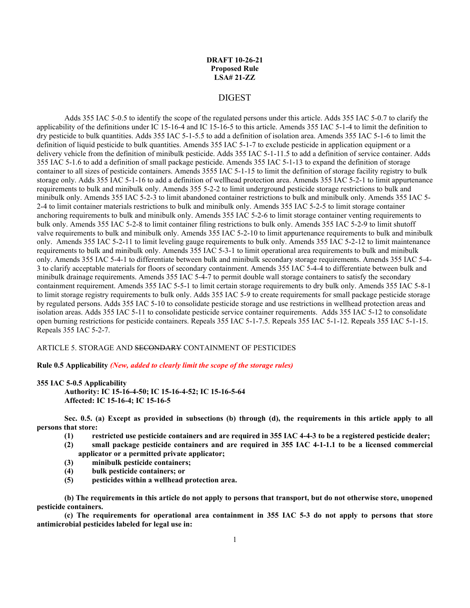# **DRAFT 10-26-21 Proposed Rule LSA# 21-ZZ**

# DIGEST

Adds 355 IAC 5-0.5 to identify the scope of the regulated persons under this article. Adds 355 IAC 5-0.7 to clarify the applicability of the definitions under IC 15-16-4 and IC 15-16-5 to this article. Amends 355 IAC 5-1-4 to limit the definition to dry pesticide to bulk quantities. Adds 355 IAC 5-1-5.5 to add a definition of isolation area. Amends 355 IAC 5-1-6 to limit the definition of liquid pesticide to bulk quantities. Amends 355 IAC 5-1-7 to exclude pesticide in application equipment or a delivery vehicle from the definition of minibulk pesticide. Adds 355 IAC 5-1-11.5 to add a definition of service container. Adds 355 IAC 5-1.6 to add a definition of small package pesticide. Amends 355 IAC 5-1-13 to expand the definition of storage container to all sizes of pesticide containers. Amends 3555 IAC 5-1-15 to limit the definition of storage facility registry to bulk storage only. Adds 355 IAC 5-1-16 to add a definition of wellhead protection area. Amends 355 IAC 5-2-1 to limit appurtenance requirements to bulk and minibulk only. Amends 355 5-2-2 to limit underground pesticide storage restrictions to bulk and minibulk only. Amends 355 IAC 5-2-3 to limit abandoned container restrictions to bulk and minibulk only. Amends 355 IAC 5- 2-4 to limit container materials restrictions to bulk and minibulk only. Amends 355 IAC 5-2-5 to limit storage container anchoring requirements to bulk and minibulk only. Amends 355 IAC 5-2-6 to limit storage container venting requirements to bulk only. Amends 355 IAC 5-2-8 to limit container filing restrictions to bulk only. Amends 355 IAC 5-2-9 to limit shutoff valve requirements to bulk and minibulk only. Amends 355 IAC 5-2-10 to limit appurtenance requirements to bulk and minibulk only. Amends 355 IAC 5-2-11 to limit leveling gauge requirements to bulk only. Amends 355 IAC 5-2-12 to limit maintenance requirements to bulk and minibulk only. Amends 355 IAC 5-3-1 to limit operational area requirements to bulk and minibulk only. Amends 355 IAC 5-4-1 to differentiate between bulk and minibulk secondary storage requirements. Amends 355 IAC 5-4- 3 to clarify acceptable materials for floors of secondary containment. Amends 355 IAC 5-4-4 to differentiate between bulk and minibulk drainage requirements. Amends 355 IAC 5-4-7 to permit double wall storage containers to satisfy the secondary containment requirement. Amends 355 IAC 5-5-1 to limit certain storage requirements to dry bulk only. Amends 355 IAC 5-8-1 to limit storage registry requirements to bulk only. Adds 355 IAC 5-9 to create requirements for small package pesticide storage by regulated persons. Adds 355 IAC 5-10 to consolidate pesticide storage and use restrictions in wellhead protection areas and isolation areas. Adds 355 IAC 5-11 to consolidate pesticide service container requirements. Adds 355 IAC 5-12 to consolidate open burning restrictions for pesticide containers. Repeals 355 IAC 5-1-7.5. Repeals 355 IAC 5-1-12. Repeals 355 IAC 5-1-15. Repeals 355 IAC 5-2-7.

ARTICLE 5. STORAGE AND SECONDARY CONTAINMENT OF PESTICIDES

**Rule 0.5 Applicability** *(New, added to clearly limit the scope of the storage rules)*

#### **355 IAC 5-0.5 Applicability**

**Authority: IC 15-16-4-50; IC 15-16-4-52; IC 15-16-5-64 Affected: IC 15-16-4; IC 15-16-5**

**Sec. 0.5. (a) Except as provided in subsections (b) through (d), the requirements in this article apply to all persons that store:**

- **(1) restricted use pesticide containers and are required in 355 IAC 4-4-3 to be a registered pesticide dealer;**
- **(2) small package pesticide containers and are required in 355 IAC 4-1-1.1 to be a licensed commercial applicator or a permitted private applicator;**
- **(3) minibulk pesticide containers;**
- **(4) bulk pesticide containers; or**
- **(5) pesticides within a wellhead protection area.**

**(b) The requirements in this article do not apply to persons that transport, but do not otherwise store, unopened pesticide containers.**

**(c) The requirements for operational area containment in 355 IAC 5-3 do not apply to persons that store antimicrobial pesticides labeled for legal use in:**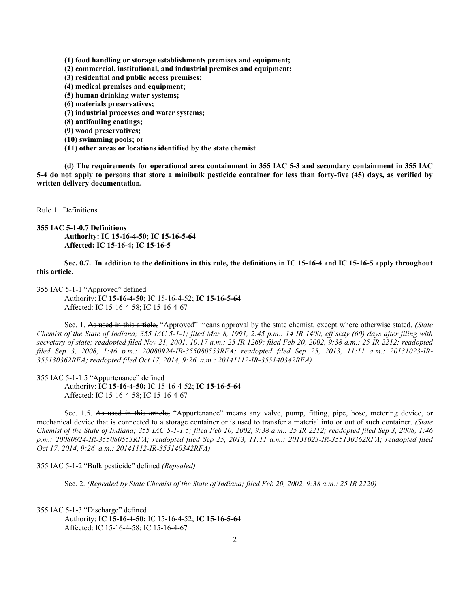**(1) food handling or storage establishments premises and equipment;** 

- **(2) commercial, institutional, and industrial premises and equipment;**
- **(3) residential and public access premises;**
- **(4) medical premises and equipment;**
- **(5) human drinking water systems;**
- **(6) materials preservatives;**
- **(7) industrial processes and water systems;**
- **(8) antifouling coatings;**
- **(9) wood preservatives;**
- **(10) swimming pools; or**
- **(11) other areas or locations identified by the state chemist**

**(d) The requirements for operational area containment in 355 IAC 5-3 and secondary containment in 355 IAC 5-4 do not apply to persons that store a minibulk pesticide container for less than forty-five (45) days, as verified by written delivery documentation.**

Rule 1. Definitions

**355 IAC 5-1-0.7 Definitions Authority: IC 15-16-4-50; IC 15-16-5-64 Affected: IC 15-16-4; IC 15-16-5**

**Sec. 0.7. In addition to the definitions in this rule, the definitions in IC 15-16-4 and IC 15-16-5 apply throughout this article.**

355 IAC 5-1-1 "Approved" defined

Authority: **IC 15-16-4-50;** IC 15-16-4-52; **IC 15-16-5-64** Affected: IC 15-16-4-58; IC 15-16-4-67

Sec. 1. As used in this article, "Approved" means approval by the state chemist, except where otherwise stated. *(State Chemist of the State of Indiana; 355 IAC 5-1-1; filed Mar 8, 1991, 2:45 p.m.: 14 IR 1400, eff sixty (60) days after filing with secretary of state; readopted filed Nov 21, 2001, 10:17 a.m.: 25 IR 1269; filed Feb 20, 2002, 9:38 a.m.: 25 IR 2212; readopted filed Sep 3, 2008, 1:46 p.m.: 20080924-IR-355080553RFA; readopted filed Sep 25, 2013, 11:11 a.m.: 20131023-IR-355130362RFA; readopted filed Oct 17, 2014, 9:26 a.m.: 20141112-IR-355140342RFA)*

355 IAC 5-1-1.5 "Appurtenance" defined

Authority: **IC 15-16-4-50;** IC 15-16-4-52; **IC 15-16-5-64** Affected: IC 15-16-4-58; IC 15-16-4-67

Sec. 1.5. As used in this article, "Appurtenance" means any valve, pump, fitting, pipe, hose, metering device, or mechanical device that is connected to a storage container or is used to transfer a material into or out of such container. *(State Chemist of the State of Indiana; 355 IAC 5-1-1.5; filed Feb 20, 2002, 9:38 a.m.: 25 IR 2212; readopted filed Sep 3, 2008, 1:46 p.m.: 20080924-IR-355080553RFA; readopted filed Sep 25, 2013, 11:11 a.m.: 20131023-IR-355130362RFA; readopted filed Oct 17, 2014, 9:26 a.m.: 20141112-IR-355140342RFA)*

355 IAC 5-1-2 "Bulk pesticide" defined *(Repealed)*

Sec. 2. *(Repealed by State Chemist of the State of Indiana; filed Feb 20, 2002, 9:38 a.m.: 25 IR 2220)*

355 IAC 5-1-3 "Discharge" defined Authority: **IC 15-16-4-50;** IC 15-16-4-52; **IC 15-16-5-64** Affected: IC 15-16-4-58; IC 15-16-4-67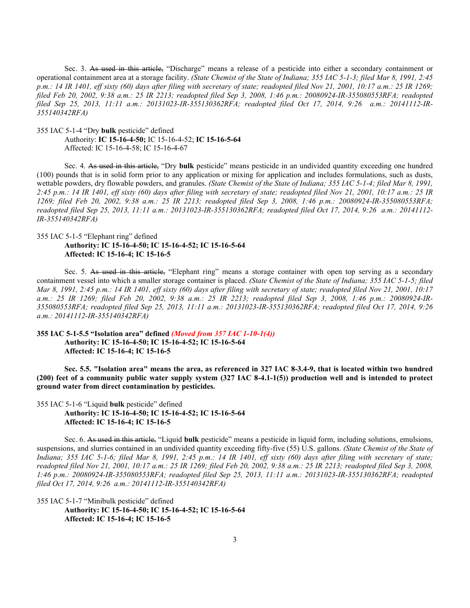Sec. 3. As used in this article, "Discharge" means a release of a pesticide into either a secondary containment or operational containment area at a storage facility. *(State Chemist of the State of Indiana; 355 IAC 5-1-3; filed Mar 8, 1991, 2:45 p.m.: 14 IR 1401, eff sixty (60) days after filing with secretary of state; readopted filed Nov 21, 2001, 10:17 a.m.: 25 IR 1269; filed Feb 20, 2002, 9:38 a.m.: 25 IR 2213; readopted filed Sep 3, 2008, 1:46 p.m.: 20080924-IR-355080553RFA; readopted filed Sep 25, 2013, 11:11 a.m.: 20131023-IR-355130362RFA; readopted filed Oct 17, 2014, 9:26 a.m.: 20141112-IR-355140342RFA)*

355 IAC 5-1-4 "Dry **bulk** pesticide" defined

Authority: **IC 15-16-4-50;** IC 15-16-4-52; **IC 15-16-5-64** Affected: IC 15-16-4-58; IC 15-16-4-67

Sec. 4. As used in this article, "Dry **bulk** pesticide" means pesticide in an undivided quantity exceeding one hundred (100) pounds that is in solid form prior to any application or mixing for application and includes formulations, such as dusts, wettable powders, dry flowable powders, and granules. *(State Chemist of the State of Indiana; 355 IAC 5-1-4; filed Mar 8, 1991, 2:45 p.m.: 14 IR 1401, eff sixty (60) days after filing with secretary of state; readopted filed Nov 21, 2001, 10:17 a.m.: 25 IR 1269; filed Feb 20, 2002, 9:38 a.m.: 25 IR 2213; readopted filed Sep 3, 2008, 1:46 p.m.: 20080924-IR-355080553RFA; readopted filed Sep 25, 2013, 11:11 a.m.: 20131023-IR-355130362RFA; readopted filed Oct 17, 2014, 9:26 a.m.: 20141112- IR-355140342RFA)*

# 355 IAC 5-1-5 "Elephant ring" defined **Authority: IC 15-16-4-50; IC 15-16-4-52; IC 15-16-5-64**

**Affected: IC 15-16-4; IC 15-16-5**

Sec. 5. As used in this article, "Elephant ring" means a storage container with open top serving as a secondary containment vessel into which a smaller storage container is placed. *(State Chemist of the State of Indiana; 355 IAC 5-1-5; filed Mar 8, 1991, 2:45 p.m.: 14 IR 1401, eff sixty (60) days after filing with secretary of state; readopted filed Nov 21, 2001, 10:17 a.m.: 25 IR 1269; filed Feb 20, 2002, 9:38 a.m.: 25 IR 2213; readopted filed Sep 3, 2008, 1:46 p.m.: 20080924-IR-355080553RFA; readopted filed Sep 25, 2013, 11:11 a.m.: 20131023-IR-355130362RFA; readopted filed Oct 17, 2014, 9:26 a.m.: 20141112-IR-355140342RFA)*

# **355 IAC 5-1-5.5 "Isolation area" defined** *(Moved from 357 IAC 1-10-1(4))* **Authority: IC 15-16-4-50; IC 15-16-4-52; IC 15-16-5-64 Affected: IC 15-16-4; IC 15-16-5**

**Sec. 5.5. "Isolation area" means the area, as referenced in 327 IAC 8-3.4-9, that is located within two hundred (200) feet of a community public water supply system (327 IAC 8-4.1-1(5)) production well and is intended to protect ground water from direct contamination by pesticides.**

355 IAC 5-1-6 "Liquid **bulk** pesticide" defined **Authority: IC 15-16-4-50; IC 15-16-4-52; IC 15-16-5-64 Affected: IC 15-16-4; IC 15-16-5**

Sec. 6. As used in this article, "Liquid **bulk** pesticide" means a pesticide in liquid form, including solutions, emulsions, suspensions, and slurries contained in an undivided quantity exceeding fifty-five (55) U.S. gallons. *(State Chemist of the State of Indiana; 355 IAC 5-1-6; filed Mar 8, 1991, 2:45 p.m.: 14 IR 1401, eff sixty (60) days after filing with secretary of state; readopted filed Nov 21, 2001, 10:17 a.m.: 25 IR 1269; filed Feb 20, 2002, 9:38 a.m.: 25 IR 2213; readopted filed Sep 3, 2008, 1:46 p.m.: 20080924-IR-355080553RFA; readopted filed Sep 25, 2013, 11:11 a.m.: 20131023-IR-355130362RFA; readopted filed Oct 17, 2014, 9:26 a.m.: 20141112-IR-355140342RFA)*

355 IAC 5-1-7 "Minibulk pesticide" defined **Authority: IC 15-16-4-50; IC 15-16-4-52; IC 15-16-5-64 Affected: IC 15-16-4; IC 15-16-5**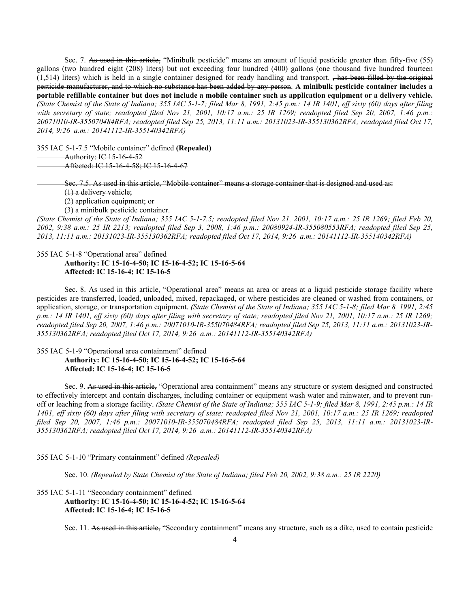Sec. 7. As used in this article, "Minibulk pesticide" means an amount of liquid pesticide greater than fifty-five (55) gallons (two hundred eight (208) liters) but not exceeding four hundred (400) gallons (one thousand five hundred fourteen  $(1,514)$  liters) which is held in a single container designed for ready handling and transport.  $\frac{1}{2}$  has been filled by the original pesticide manufacturer, and to which no substance has been added by any person. **A minibulk pesticide container includes a portable refillable container but does not include a mobile container such as application equipment or a delivery vehicle.**  *(State Chemist of the State of Indiana; 355 IAC 5-1-7; filed Mar 8, 1991, 2:45 p.m.: 14 IR 1401, eff sixty (60) days after filing with secretary of state; readopted filed Nov 21, 2001, 10:17 a.m.: 25 IR 1269; readopted filed Sep 20, 2007, 1:46 p.m.: 20071010-IR-355070484RFA; readopted filed Sep 25, 2013, 11:11 a.m.: 20131023-IR-355130362RFA; readopted filed Oct 17, 2014, 9:26 a.m.: 20141112-IR-355140342RFA)*

355 IAC 5-1-7.5 "Mobile container" defined **(Repealed)**

Authority: IC 15-16-4-52 Affected: IC 15-16-4-58; IC 15-16-4-67

> Sec. 7.5. As used in this article, "Mobile container" means a storage container that is designed and used as: (1) a delivery vehicle; (2) application equipment; or (3) a minibulk pesticide container.

*(State Chemist of the State of Indiana; 355 IAC 5-1-7.5; readopted filed Nov 21, 2001, 10:17 a.m.: 25 IR 1269; filed Feb 20, 2002, 9:38 a.m.: 25 IR 2213; readopted filed Sep 3, 2008, 1:46 p.m.: 20080924-IR-355080553RFA; readopted filed Sep 25, 2013, 11:11 a.m.: 20131023-IR-355130362RFA; readopted filed Oct 17, 2014, 9:26 a.m.: 20141112-IR-355140342RFA)*

# 355 IAC 5-1-8 "Operational area" defined **Authority: IC 15-16-4-50; IC 15-16-4-52; IC 15-16-5-64 Affected: IC 15-16-4; IC 15-16-5**

Sec. 8. As used in this article, "Operational area" means an area or areas at a liquid pesticide storage facility where pesticides are transferred, loaded, unloaded, mixed, repackaged, or where pesticides are cleaned or washed from containers, or application, storage, or transportation equipment. *(State Chemist of the State of Indiana; 355 IAC 5-1-8; filed Mar 8, 1991, 2:45 p.m.: 14 IR 1401, eff sixty (60) days after filing with secretary of state; readopted filed Nov 21, 2001, 10:17 a.m.: 25 IR 1269; readopted filed Sep 20, 2007, 1:46 p.m.: 20071010-IR-355070484RFA; readopted filed Sep 25, 2013, 11:11 a.m.: 20131023-IR-355130362RFA; readopted filed Oct 17, 2014, 9:26 a.m.: 20141112-IR-355140342RFA)*

# 355 IAC 5-1-9 "Operational area containment" defined **Authority: IC 15-16-4-50; IC 15-16-4-52; IC 15-16-5-64 Affected: IC 15-16-4; IC 15-16-5**

Sec. 9. As used in this article, "Operational area containment" means any structure or system designed and constructed to effectively intercept and contain discharges, including container or equipment wash water and rainwater, and to prevent runoff or leaching from a storage facility. *(State Chemist of the State of Indiana; 355 IAC 5-1-9; filed Mar 8, 1991, 2:45 p.m.: 14 IR 1401, eff sixty (60) days after filing with secretary of state; readopted filed Nov 21, 2001, 10:17 a.m.: 25 IR 1269; readopted filed Sep 20, 2007, 1:46 p.m.: 20071010-IR-355070484RFA; readopted filed Sep 25, 2013, 11:11 a.m.: 20131023-IR-355130362RFA; readopted filed Oct 17, 2014, 9:26 a.m.: 20141112-IR-355140342RFA)*

355 IAC 5-1-10 "Primary containment" defined *(Repealed)*

Sec. 10. *(Repealed by State Chemist of the State of Indiana; filed Feb 20, 2002, 9:38 a.m.: 25 IR 2220)*

# 355 IAC 5-1-11 "Secondary containment" defined **Authority: IC 15-16-4-50; IC 15-16-4-52; IC 15-16-5-64 Affected: IC 15-16-4; IC 15-16-5**

Sec. 11. As used in this article, "Secondary containment" means any structure, such as a dike, used to contain pesticide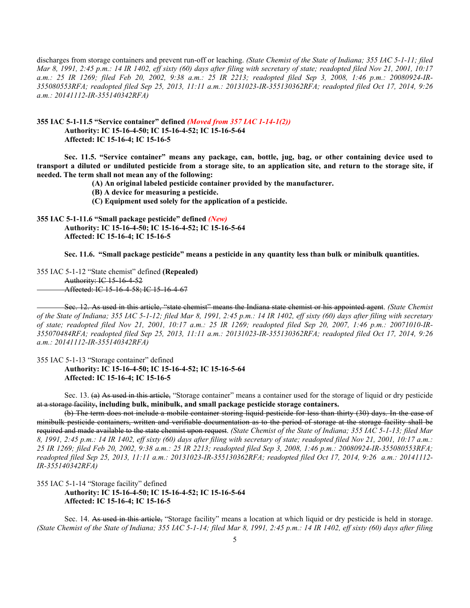discharges from storage containers and prevent run-off or leaching. *(State Chemist of the State of Indiana; 355 IAC 5-1-11; filed Mar 8, 1991, 2:45 p.m.: 14 IR 1402, eff sixty (60) days after filing with secretary of state; readopted filed Nov 21, 2001, 10:17 a.m.: 25 IR 1269; filed Feb 20, 2002, 9:38 a.m.: 25 IR 2213; readopted filed Sep 3, 2008, 1:46 p.m.: 20080924-IR-355080553RFA; readopted filed Sep 25, 2013, 11:11 a.m.: 20131023-IR-355130362RFA; readopted filed Oct 17, 2014, 9:26 a.m.: 20141112-IR-355140342RFA)*

# **355 IAC 5-1-11.5 "Service container" defined** *(Moved from 357 IAC 1-14-1(2))* **Authority: IC 15-16-4-50; IC 15-16-4-52; IC 15-16-5-64 Affected: IC 15-16-4; IC 15-16-5**

**Sec. 11.5. "Service container" means any package, can, bottle, jug, bag, or other containing device used to transport a diluted or undiluted pesticide from a storage site, to an application site, and return to the storage site, if needed. The term shall not mean any of the following:**

**(A) An original labeled pesticide container provided by the manufacturer.**

**(B) A device for measuring a pesticide.**

**(C) Equipment used solely for the application of a pesticide.**

# **355 IAC 5-1-11.6 "Small package pesticide" defined** *(New)* **Authority: IC 15-16-4-50; IC 15-16-4-52; IC 15-16-5-64 Affected: IC 15-16-4; IC 15-16-5**

**Sec. 11.6. "Small package pesticide" means a pesticide in any quantity less than bulk or minibulk quantities.**

355 IAC 5-1-12 "State chemist" defined **(Repealed)** Authority: IC 15-16-4-52 Affected: IC 15-16-4-58; IC 15-16-4-67

Sec. 12. As used in this article, "state chemist" means the Indiana state chemist or his appointed agent. *(State Chemist of the State of Indiana; 355 IAC 5-1-12; filed Mar 8, 1991, 2:45 p.m.: 14 IR 1402, eff sixty (60) days after filing with secretary of state; readopted filed Nov 21, 2001, 10:17 a.m.: 25 IR 1269; readopted filed Sep 20, 2007, 1:46 p.m.: 20071010-IR-355070484RFA; readopted filed Sep 25, 2013, 11:11 a.m.: 20131023-IR-355130362RFA; readopted filed Oct 17, 2014, 9:26 a.m.: 20141112-IR-355140342RFA)*

355 IAC 5-1-13 "Storage container" defined

**Authority: IC 15-16-4-50; IC 15-16-4-52; IC 15-16-5-64 Affected: IC 15-16-4; IC 15-16-5**

Sec. 13. (a) As used in this article, "Storage container" means a container used for the storage of liquid or dry pesticide at a storage facility**, including bulk, minibulk, and small package pesticide storage containers.**

(b) The term does not include a mobile container storing liquid pesticide for less than thirty (30) days. In the case of minibulk pesticide containers, written and verifiable documentation as to the period of storage at the storage facility shall be required and made available to the state chemist upon request. *(State Chemist of the State of Indiana; 355 IAC 5-1-13; filed Mar 8, 1991, 2:45 p.m.: 14 IR 1402, eff sixty (60) days after filing with secretary of state; readopted filed Nov 21, 2001, 10:17 a.m.: 25 IR 1269; filed Feb 20, 2002, 9:38 a.m.: 25 IR 2213; readopted filed Sep 3, 2008, 1:46 p.m.: 20080924-IR-355080553RFA; readopted filed Sep 25, 2013, 11:11 a.m.: 20131023-IR-355130362RFA; readopted filed Oct 17, 2014, 9:26 a.m.: 20141112- IR-355140342RFA)*

355 IAC 5-1-14 "Storage facility" defined

## **Authority: IC 15-16-4-50; IC 15-16-4-52; IC 15-16-5-64 Affected: IC 15-16-4; IC 15-16-5**

Sec. 14. As used in this article, "Storage facility" means a location at which liquid or dry pesticide is held in storage. *(State Chemist of the State of Indiana; 355 IAC 5-1-14; filed Mar 8, 1991, 2:45 p.m.: 14 IR 1402, eff sixty (60) days after filing*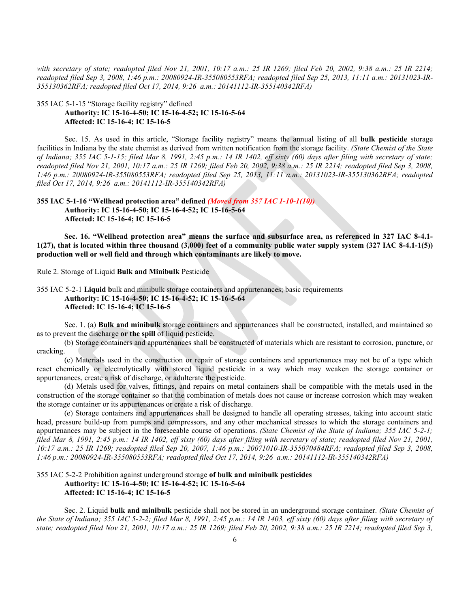*with secretary of state; readopted filed Nov 21, 2001, 10:17 a.m.: 25 IR 1269; filed Feb 20, 2002, 9:38 a.m.: 25 IR 2214; readopted filed Sep 3, 2008, 1:46 p.m.: 20080924-IR-355080553RFA; readopted filed Sep 25, 2013, 11:11 a.m.: 20131023-IR-355130362RFA; readopted filed Oct 17, 2014, 9:26 a.m.: 20141112-IR-355140342RFA)*

355 IAC 5-1-15 "Storage facility registry" defined

# **Authority: IC 15-16-4-50; IC 15-16-4-52; IC 15-16-5-64 Affected: IC 15-16-4; IC 15-16-5**

Sec. 15. As used in this article, "Storage facility registry" means the annual listing of all **bulk pesticide** storage facilities in Indiana by the state chemist as derived from written notification from the storage facility. *(State Chemist of the State of Indiana; 355 IAC 5-1-15; filed Mar 8, 1991, 2:45 p.m.: 14 IR 1402, eff sixty (60) days after filing with secretary of state; readopted filed Nov 21, 2001, 10:17 a.m.: 25 IR 1269; filed Feb 20, 2002, 9:38 a.m.: 25 IR 2214; readopted filed Sep 3, 2008, 1:46 p.m.: 20080924-IR-355080553RFA; readopted filed Sep 25, 2013, 11:11 a.m.: 20131023-IR-355130362RFA; readopted filed Oct 17, 2014, 9:26 a.m.: 20141112-IR-355140342RFA)*

**355 IAC 5-1-16 "Wellhead protection area" defined** *(Moved from 357 IAC 1-10-1(10))* **Authority: IC 15-16-4-50; IC 15-16-4-52; IC 15-16-5-64 Affected: IC 15-16-4; IC 15-16-5**

**Sec. 16. "Wellhead protection area" means the surface and subsurface area, as referenced in 327 IAC 8-4.1- 1(27), that is located within three thousand (3,000) feet of a community public water supply system (327 IAC 8-4.1-1(5)) production well or well field and through which contaminants are likely to move.**

Rule 2. Storage of Liquid **Bulk and Minibulk** Pesticide

355 IAC 5-2-1 **Liquid b**ulk and minibulk storage containers and appurtenances; basic requirements **Authority: IC 15-16-4-50; IC 15-16-4-52; IC 15-16-5-64 Affected: IC 15-16-4; IC 15-16-5**

Sec. 1. (a) **Bulk and minibulk s**torage containers and appurtenances shall be constructed, installed, and maintained so as to prevent the discharge **or the spill** of liquid pesticide.

(b) Storage containers and appurtenances shall be constructed of materials which are resistant to corrosion, puncture, or cracking.

(c) Materials used in the construction or repair of storage containers and appurtenances may not be of a type which react chemically or electrolytically with stored liquid pesticide in a way which may weaken the storage container or appurtenances, create a risk of discharge, or adulterate the pesticide.

(d) Metals used for valves, fittings, and repairs on metal containers shall be compatible with the metals used in the construction of the storage container so that the combination of metals does not cause or increase corrosion which may weaken the storage container or its appurtenances or create a risk of discharge.

(e) Storage containers and appurtenances shall be designed to handle all operating stresses, taking into account static head, pressure build-up from pumps and compressors, and any other mechanical stresses to which the storage containers and appurtenances may be subject in the foreseeable course of operations. *(State Chemist of the State of Indiana; 355 IAC 5-2-1; filed Mar 8, 1991, 2:45 p.m.: 14 IR 1402, eff sixty (60) days after filing with secretary of state; readopted filed Nov 21, 2001, 10:17 a.m.: 25 IR 1269; readopted filed Sep 20, 2007, 1:46 p.m.: 20071010-IR-355070484RFA; readopted filed Sep 3, 2008, 1:46 p.m.: 20080924-IR-355080553RFA; readopted filed Oct 17, 2014, 9:26 a.m.: 20141112-IR-355140342RFA)*

# 355 IAC 5-2-2 Prohibition against underground storage **of bulk and minibulk pesticides Authority: IC 15-16-4-50; IC 15-16-4-52; IC 15-16-5-64 Affected: IC 15-16-4; IC 15-16-5**

Sec. 2. Liquid **bulk and minibulk** pesticide shall not be stored in an underground storage container. *(State Chemist of the State of Indiana; 355 IAC 5-2-2; filed Mar 8, 1991, 2:45 p.m.: 14 IR 1403, eff sixty (60) days after filing with secretary of state; readopted filed Nov 21, 2001, 10:17 a.m.: 25 IR 1269; filed Feb 20, 2002, 9:38 a.m.: 25 IR 2214; readopted filed Sep 3,*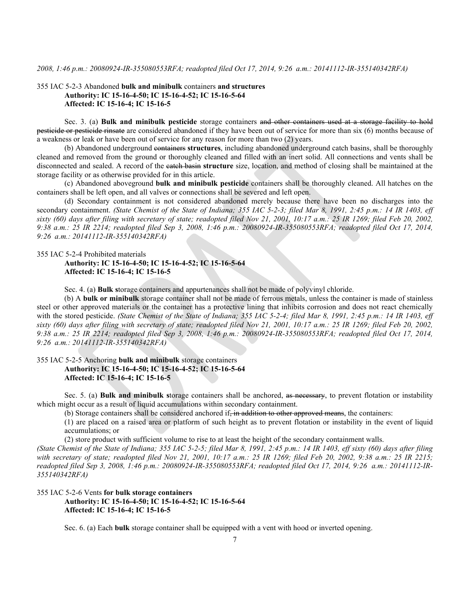### 355 IAC 5-2-3 Abandoned **bulk and minibulk** containers **and structures Authority: IC 15-16-4-50; IC 15-16-4-52; IC 15-16-5-64 Affected: IC 15-16-4; IC 15-16-5**

Sec. 3. (a) **Bulk and minibulk pesticide** storage containers and other containers used at a storage facility to hold pesticide or pesticide rinsate are considered abandoned if they have been out of service for more than six (6) months because of a weakness or leak or have been out of service for any reason for more than two (2) years.

(b) Abandoned underground containers **structures**, including abandoned underground catch basins, shall be thoroughly cleaned and removed from the ground or thoroughly cleaned and filled with an inert solid. All connections and vents shall be disconnected and sealed. A record of the catch basin **structure** size, location, and method of closing shall be maintained at the storage facility or as otherwise provided for in this article.

(c) Abandoned aboveground **bulk and minibulk pesticide** containers shall be thoroughly cleaned. All hatches on the containers shall be left open, and all valves or connections shall be severed and left open.

(d) Secondary containment is not considered abandoned merely because there have been no discharges into the secondary containment. *(State Chemist of the State of Indiana; 355 IAC 5-2-3; filed Mar 8, 1991, 2:45 p.m.: 14 IR 1403, eff sixty (60) days after filing with secretary of state; readopted filed Nov 21, 2001, 10:17 a.m.: 25 IR 1269; filed Feb 20, 2002, 9:38 a.m.: 25 IR 2214; readopted filed Sep 3, 2008, 1:46 p.m.: 20080924-IR-355080553RFA; readopted filed Oct 17, 2014, 9:26 a.m.: 20141112-IR-355140342RFA)*

355 IAC 5-2-4 Prohibited materials

# **Authority: IC 15-16-4-50; IC 15-16-4-52; IC 15-16-5-64 Affected: IC 15-16-4; IC 15-16-5**

Sec. 4. (a) **Bulk s**torage containers and appurtenances shall not be made of polyvinyl chloride.

(b) A **bulk or minibulk** storage container shall not be made of ferrous metals, unless the container is made of stainless steel or other approved materials or the container has a protective lining that inhibits corrosion and does not react chemically with the stored pesticide. *(State Chemist of the State of Indiana; 355 IAC 5-2-4; filed Mar 8, 1991, 2:45 p.m.: 14 IR 1403, eff sixty (60) days after filing with secretary of state; readopted filed Nov 21, 2001, 10:17 a.m.: 25 IR 1269; filed Feb 20, 2002, 9:38 a.m.: 25 IR 2214; readopted filed Sep 3, 2008, 1:46 p.m.: 20080924-IR-355080553RFA; readopted filed Oct 17, 2014, 9:26 a.m.: 20141112-IR-355140342RFA)*

# 355 IAC 5-2-5 Anchoring **bulk and minibulk** storage containers **Authority: IC 15-16-4-50; IC 15-16-4-52; IC 15-16-5-64 Affected: IC 15-16-4; IC 15-16-5**

Sec. 5. (a) **Bulk and minibulk s**torage containers shall be anchored, as necessary, to prevent flotation or instability which might occur as a result of liquid accumulations within secondary containment.

(b) Storage containers shall be considered anchored if, in addition to other approved means, the containers:

(1) are placed on a raised area or platform of such height as to prevent flotation or instability in the event of liquid accumulations; or

(2) store product with sufficient volume to rise to at least the height of the secondary containment walls.

*(State Chemist of the State of Indiana; 355 IAC 5-2-5; filed Mar 8, 1991, 2:45 p.m.: 14 IR 1403, eff sixty (60) days after filing with secretary of state; readopted filed Nov 21, 2001, 10:17 a.m.: 25 IR 1269; filed Feb 20, 2002, 9:38 a.m.: 25 IR 2215; readopted filed Sep 3, 2008, 1:46 p.m.: 20080924-IR-355080553RFA; readopted filed Oct 17, 2014, 9:26 a.m.: 20141112-IR-355140342RFA)*

# 355 IAC 5-2-6 Vents **for bulk storage containers Authority: IC 15-16-4-50; IC 15-16-4-52; IC 15-16-5-64 Affected: IC 15-16-4; IC 15-16-5**

Sec. 6. (a) Each **bulk** storage container shall be equipped with a vent with hood or inverted opening.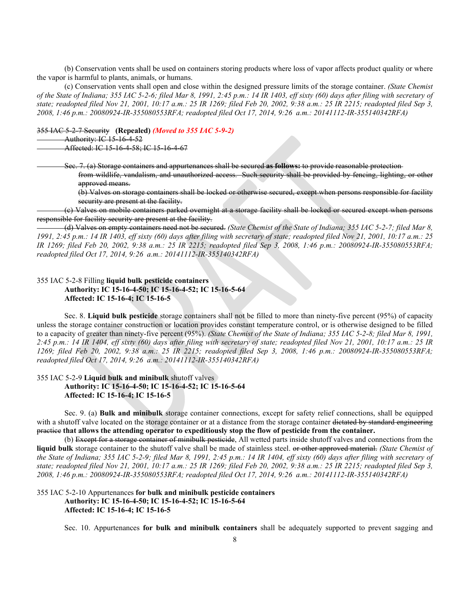(b) Conservation vents shall be used on containers storing products where loss of vapor affects product quality or where the vapor is harmful to plants, animals, or humans.

(c) Conservation vents shall open and close within the designed pressure limits of the storage container. *(State Chemist of the State of Indiana; 355 IAC 5-2-6; filed Mar 8, 1991, 2:45 p.m.: 14 IR 1403, eff sixty (60) days after filing with secretary of state; readopted filed Nov 21, 2001, 10:17 a.m.: 25 IR 1269; filed Feb 20, 2002, 9:38 a.m.: 25 IR 2215; readopted filed Sep 3, 2008, 1:46 p.m.: 20080924-IR-355080553RFA; readopted filed Oct 17, 2014, 9:26 a.m.: 20141112-IR-355140342RFA)*

355 IAC 5-2-7 Security **(Repealed)** *(Moved to 355 IAC 5-9-2)*

Authority: IC 15-16-4-52

Affected: IC 15-16-4-58; IC 15-16-4-67

Sec. 7. (a) Storage containers and appurtenances shall be secured **as follows:** to provide reasonable protection

from wildlife, vandalism, and unauthorized access. Such security shall be provided by fencing, lighting, or other approved means.

(b) Valves on storage containers shall be locked or otherwise secured, except when persons responsible for facility security are present at the facility.

(c) Valves on mobile containers parked overnight at a storage facility shall be locked or secured except when persons responsible for facility security are present at the facility.

(d) Valves on empty containers need not be secured. *(State Chemist of the State of Indiana; 355 IAC 5-2-7; filed Mar 8, 1991, 2:45 p.m.: 14 IR 1403, eff sixty (60) days after filing with secretary of state; readopted filed Nov 21, 2001, 10:17 a.m.: 25 IR 1269; filed Feb 20, 2002, 9:38 a.m.: 25 IR 2215; readopted filed Sep 3, 2008, 1:46 p.m.: 20080924-IR-355080553RFA; readopted filed Oct 17, 2014, 9:26 a.m.: 20141112-IR-355140342RFA)*

### 355 IAC 5-2-8 Filling **liquid bulk pesticide containers Authority: IC 15-16-4-50; IC 15-16-4-52; IC 15-16-5-64 Affected: IC 15-16-4; IC 15-16-5**

Sec. 8. **Liquid bulk pesticide** storage containers shall not be filled to more than ninety-five percent (95%) of capacity unless the storage container construction or location provides constant temperature control, or is otherwise designed to be filled to a capacity of greater than ninety-five percent (95%). *(State Chemist of the State of Indiana; 355 IAC 5-2-8; filed Mar 8, 1991, 2:45 p.m.: 14 IR 1404, eff sixty (60) days after filing with secretary of state; readopted filed Nov 21, 2001, 10:17 a.m.: 25 IR 1269; filed Feb 20, 2002, 9:38 a.m.: 25 IR 2215; readopted filed Sep 3, 2008, 1:46 p.m.: 20080924-IR-355080553RFA; readopted filed Oct 17, 2014, 9:26 a.m.: 20141112-IR-355140342RFA)*

### 355 IAC 5-2-9 **Liquid bulk and minibulk** shutoff valves **Authority: IC 15-16-4-50; IC 15-16-4-52; IC 15-16-5-64 Affected: IC 15-16-4; IC 15-16-5**

Sec. 9. (a) **Bulk and minibulk** storage container connections, except for safety relief connections, shall be equipped with a shutoff valve located on the storage container or at a distance from the storage container dictated by standard engineering practice **that allows the attending operator to expeditiously stop the flow of pesticide from the container.**

(b) Except for a storage container of minibulk pesticide, All wetted parts inside shutoff valves and connections from the **liquid bulk** storage container to the shutoff valve shall be made of stainless steel. or other approved material. *(State Chemist of the State of Indiana; 355 IAC 5-2-9; filed Mar 8, 1991, 2:45 p.m.: 14 IR 1404, eff sixty (60) days after filing with secretary of state; readopted filed Nov 21, 2001, 10:17 a.m.: 25 IR 1269; filed Feb 20, 2002, 9:38 a.m.: 25 IR 2215; readopted filed Sep 3, 2008, 1:46 p.m.: 20080924-IR-355080553RFA; readopted filed Oct 17, 2014, 9:26 a.m.: 20141112-IR-355140342RFA)*

### 355 IAC 5-2-10 Appurtenances **for bulk and minibulk pesticide containers Authority: IC 15-16-4-50; IC 15-16-4-52; IC 15-16-5-64 Affected: IC 15-16-4; IC 15-16-5**

Sec. 10. Appurtenances **for bulk and minibulk containers** shall be adequately supported to prevent sagging and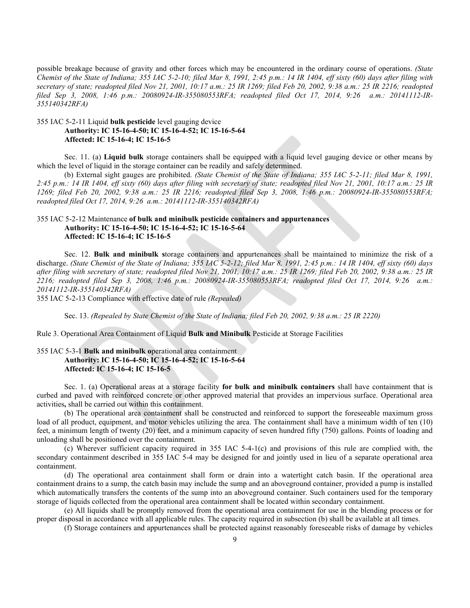possible breakage because of gravity and other forces which may be encountered in the ordinary course of operations. *(State Chemist of the State of Indiana; 355 IAC 5-2-10; filed Mar 8, 1991, 2:45 p.m.: 14 IR 1404, eff sixty (60) days after filing with secretary of state; readopted filed Nov 21, 2001, 10:17 a.m.: 25 IR 1269; filed Feb 20, 2002, 9:38 a.m.: 25 IR 2216; readopted filed Sep 3, 2008, 1:46 p.m.: 20080924-IR-355080553RFA; readopted filed Oct 17, 2014, 9:26 a.m.: 20141112-IR-355140342RFA)*

# 355 IAC 5-2-11 Liquid **bulk pesticide** level gauging device **Authority: IC 15-16-4-50; IC 15-16-4-52; IC 15-16-5-64 Affected: IC 15-16-4; IC 15-16-5**

Sec. 11. (a) **Liquid bulk** storage containers shall be equipped with a liquid level gauging device or other means by which the level of liquid in the storage container can be readily and safely determined.

(b) External sight gauges are prohibited. *(State Chemist of the State of Indiana; 355 IAC 5-2-11; filed Mar 8, 1991, 2:45 p.m.: 14 IR 1404, eff sixty (60) days after filing with secretary of state; readopted filed Nov 21, 2001, 10:17 a.m.: 25 IR 1269; filed Feb 20, 2002, 9:38 a.m.: 25 IR 2216; readopted filed Sep 3, 2008, 1:46 p.m.: 20080924-IR-355080553RFA; readopted filed Oct 17, 2014, 9:26 a.m.: 20141112-IR-355140342RFA)*

# 355 IAC 5-2-12 Maintenance **of bulk and minibulk pesticide containers and appurtenances Authority: IC 15-16-4-50; IC 15-16-4-52; IC 15-16-5-64 Affected: IC 15-16-4; IC 15-16-5**

Sec. 12. **Bulk and minibulk s**torage containers and appurtenances shall be maintained to minimize the risk of a discharge. *(State Chemist of the State of Indiana; 355 IAC 5-2-12; filed Mar 8, 1991, 2:45 p.m.: 14 IR 1404, eff sixty (60) days after filing with secretary of state; readopted filed Nov 21, 2001, 10:17 a.m.: 25 IR 1269; filed Feb 20, 2002, 9:38 a.m.: 25 IR 2216; readopted filed Sep 3, 2008, 1:46 p.m.: 20080924-IR-355080553RFA; readopted filed Oct 17, 2014, 9:26 a.m.: 20141112-IR-355140342RFA)*

355 IAC 5-2-13 Compliance with effective date of rule *(Repealed)*

Sec. 13. *(Repealed by State Chemist of the State of Indiana; filed Feb 20, 2002, 9:38 a.m.: 25 IR 2220)*

Rule 3. Operational Area Containment of Liquid **Bulk and Minibulk** Pesticide at Storage Facilities

## 355 IAC 5-3-1 **Bulk and minibulk o**perational area containment **Authority: IC 15-16-4-50; IC 15-16-4-52; IC 15-16-5-64 Affected: IC 15-16-4; IC 15-16-5**

Sec. 1. (a) Operational areas at a storage facility **for bulk and minibulk containers** shall have containment that is curbed and paved with reinforced concrete or other approved material that provides an impervious surface. Operational area activities**,** shall be carried out within this containment.

(b) The operational area containment shall be constructed and reinforced to support the foreseeable maximum gross load of all product, equipment, and motor vehicles utilizing the area. The containment shall have a minimum width of ten (10) feet, a minimum length of twenty (20) feet, and a minimum capacity of seven hundred fifty (750) gallons. Points of loading and unloading shall be positioned over the containment.

(c) Wherever sufficient capacity required in 355 IAC 5-4-1(c) and provisions of this rule are complied with, the secondary containment described in 355 IAC 5-4 may be designed for and jointly used in lieu of a separate operational area containment.

(d) The operational area containment shall form or drain into a watertight catch basin. If the operational area containment drains to a sump, the catch basin may include the sump and an aboveground container, provided a pump is installed which automatically transfers the contents of the sump into an aboveground container. Such containers used for the temporary storage of liquids collected from the operational area containment shall be located within secondary containment.

(e) All liquids shall be promptly removed from the operational area containment for use in the blending process or for proper disposal in accordance with all applicable rules. The capacity required in subsection (b) shall be available at all times.

(f) Storage containers and appurtenances shall be protected against reasonably foreseeable risks of damage by vehicles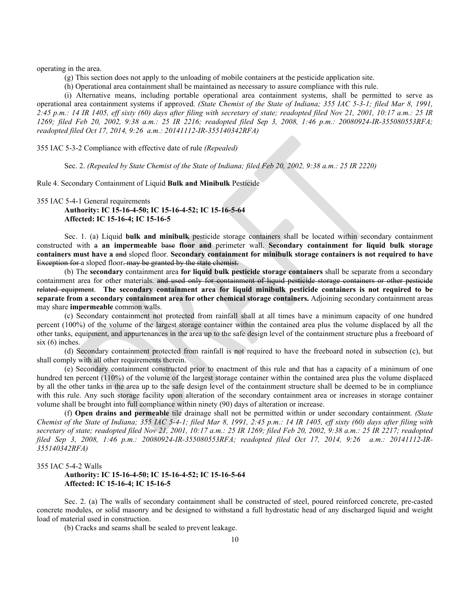operating in the area.

(g) This section does not apply to the unloading of mobile containers at the pesticide application site.

(h) Operational area containment shall be maintained as necessary to assure compliance with this rule.

(i) Alternative means, including portable operational area containment systems, shall be permitted to serve as operational area containment systems if approved. *(State Chemist of the State of Indiana; 355 IAC 5-3-1; filed Mar 8, 1991, 2:45 p.m.: 14 IR 1405, eff sixty (60) days after filing with secretary of state; readopted filed Nov 21, 2001, 10:17 a.m.: 25 IR 1269; filed Feb 20, 2002, 9:38 a.m.: 25 IR 2216; readopted filed Sep 3, 2008, 1:46 p.m.: 20080924-IR-355080553RFA; readopted filed Oct 17, 2014, 9:26 a.m.: 20141112-IR-355140342RFA)*

355 IAC 5-3-2 Compliance with effective date of rule *(Repealed)*

Sec. 2. *(Repealed by State Chemist of the State of Indiana; filed Feb 20, 2002, 9:38 a.m.: 25 IR 2220)*

Rule 4. Secondary Containment of Liquid **Bulk and Minibulk** Pesticide

355 IAC 5-4-1 General requirements

**Authority: IC 15-16-4-50; IC 15-16-4-52; IC 15-16-5-64 Affected: IC 15-16-4; IC 15-16-5**

Sec. 1. (a) Liquid **bulk and minibulk** pesticide storage containers shall be located within secondary containment constructed with a **an impermeable** base **floor and** perimeter wall. **Secondary containment for liquid bulk storage containers must have a** and sloped floor. **Secondary containment for minibulk storage containers is not required to have** Exception for a sloped floor. may be granted by the state chemist.

(b) The **secondary** containment area **for liquid bulk pesticide storage containers** shall be separate from a secondary containment area for other materials. and used only for containment of liquid pesticide storage containers or other pesticide related equipment. **The secondary containment area for liquid minibulk pesticide containers is not required to be separate from a secondary containment area for other chemical storage containers.** Adjoining secondary containment areas may share **impermeable** common walls.

(c) Secondary containment not protected from rainfall shall at all times have a minimum capacity of one hundred percent (100%) of the volume of the largest storage container within the contained area plus the volume displaced by all the other tanks, equipment, and appurtenances in the area up to the safe design level of the containment structure plus a freeboard of six (6) inches.

(d) Secondary containment protected from rainfall is not required to have the freeboard noted in subsection (c), but shall comply with all other requirements therein.

(e) Secondary containment constructed prior to enactment of this rule and that has a capacity of a minimum of one hundred ten percent (110%) of the volume of the largest storage container within the contained area plus the volume displaced by all the other tanks in the area up to the safe design level of the containment structure shall be deemed to be in compliance with this rule. Any such storage facility upon alteration of the secondary containment area or increases in storage container volume shall be brought into full compliance within ninety (90) days of alteration or increase.

(f) **Open drains and permeable** tile drainage shall not be permitted within or under secondary containment. *(State Chemist of the State of Indiana; 355 IAC 5-4-1; filed Mar 8, 1991, 2:45 p.m.: 14 IR 1405, eff sixty (60) days after filing with secretary of state; readopted filed Nov 21, 2001, 10:17 a.m.: 25 IR 1269; filed Feb 20, 2002, 9:38 a.m.: 25 IR 2217; readopted filed Sep 3, 2008, 1:46 p.m.: 20080924-IR-355080553RFA; readopted filed Oct 17, 2014, 9:26 a.m.: 20141112-IR-355140342RFA)*

#### 355 IAC 5-4-2 Walls

### **Authority: IC 15-16-4-50; IC 15-16-4-52; IC 15-16-5-64 Affected: IC 15-16-4; IC 15-16-5**

Sec. 2. (a) The walls of secondary containment shall be constructed of steel, poured reinforced concrete, pre-casted concrete modules, or solid masonry and be designed to withstand a full hydrostatic head of any discharged liquid and weight load of material used in construction.

(b) Cracks and seams shall be sealed to prevent leakage.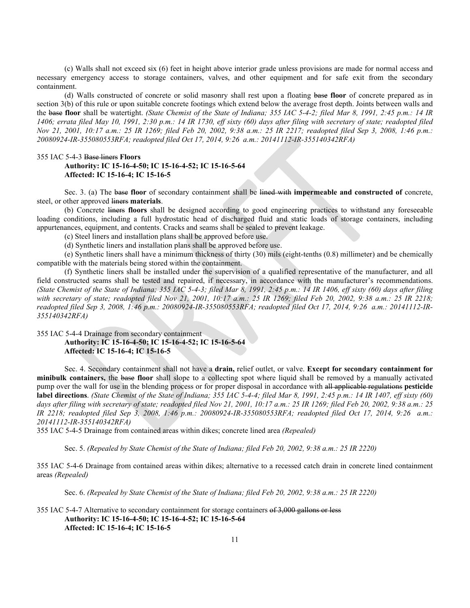(c) Walls shall not exceed six (6) feet in height above interior grade unless provisions are made for normal access and necessary emergency access to storage containers, valves, and other equipment and for safe exit from the secondary containment.

(d) Walls constructed of concrete or solid masonry shall rest upon a floating base **floor** of concrete prepared as in section 3(b) of this rule or upon suitable concrete footings which extend below the average frost depth. Joints between walls and the base **floor** shall be watertight. *(State Chemist of the State of Indiana; 355 IAC 5-4-2; filed Mar 8, 1991, 2:45 p.m.: 14 IR 1406; errata filed May 10, 1991, 2:30 p.m.: 14 IR 1730, eff sixty (60) days after filing with secretary of state; readopted filed Nov 21, 2001, 10:17 a.m.: 25 IR 1269; filed Feb 20, 2002, 9:38 a.m.: 25 IR 2217; readopted filed Sep 3, 2008, 1:46 p.m.: 20080924-IR-355080553RFA; readopted filed Oct 17, 2014, 9:26 a.m.: 20141112-IR-355140342RFA)*

# 355 IAC 5-4-3 Base liners **Floors Authority: IC 15-16-4-50; IC 15-16-4-52; IC 15-16-5-64 Affected: IC 15-16-4; IC 15-16-5**

Sec. 3. (a) The base **floor** of secondary containment shall be lined with **impermeable and constructed of** concrete, steel, or other approved liners **materials**.

(b) Concrete liners **floors** shall be designed according to good engineering practices to withstand any foreseeable loading conditions, including a full hydrostatic head of discharged fluid and static loads of storage containers, including appurtenances, equipment, and contents. Cracks and seams shall be sealed to prevent leakage.

(c) Steel liners and installation plans shall be approved before use.

(d) Synthetic liners and installation plans shall be approved before use.

(e) Synthetic liners shall have a minimum thickness of thirty (30) mils (eight-tenths (0.8) millimeter) and be chemically compatible with the materials being stored within the containment.

(f) Synthetic liners shall be installed under the supervision of a qualified representative of the manufacturer, and all field constructed seams shall be tested and repaired, if necessary, in accordance with the manufacturer's recommendations. *(State Chemist of the State of Indiana; 355 IAC 5-4-3; filed Mar 8, 1991, 2:45 p.m.: 14 IR 1406, eff sixty (60) days after filing with secretary of state; readopted filed Nov 21, 2001, 10:17 a.m.: 25 IR 1269; filed Feb 20, 2002, 9:38 a.m.: 25 IR 2218; readopted filed Sep 3, 2008, 1:46 p.m.: 20080924-IR-355080553RFA; readopted filed Oct 17, 2014, 9:26 a.m.: 20141112-IR-355140342RFA)*

355 IAC 5-4-4 Drainage from secondary containment

#### **Authority: IC 15-16-4-50; IC 15-16-4-52; IC 15-16-5-64 Affected: IC 15-16-4; IC 15-16-5**

Sec. 4. Secondary containment shall not have a **drain,** relief outlet, or valve. **Except for secondary containment for minibulk containers,** the base **floor** shall slope to a collecting spot where liquid shall be removed by a manually activated pump over the wall for use in the blending process or for proper disposal in accordance with all applicable regulations **pesticide label directions**. *(State Chemist of the State of Indiana; 355 IAC 5-4-4; filed Mar 8, 1991, 2:45 p.m.: 14 IR 1407, eff sixty (60)*  days after filing with secretary of state; readopted filed Nov 21, 2001, 10:17 a.m.: 25 IR 1269; filed Feb 20, 2002, 9:38 a.m.: 25 *IR 2218; readopted filed Sep 3, 2008, 1:46 p.m.: 20080924-IR-355080553RFA; readopted filed Oct 17, 2014, 9:26 a.m.: 20141112-IR-355140342RFA)*

355 IAC 5-4-5 Drainage from contained areas within dikes; concrete lined area *(Repealed)*

Sec. 5. *(Repealed by State Chemist of the State of Indiana; filed Feb 20, 2002, 9:38 a.m.: 25 IR 2220)*

355 IAC 5-4-6 Drainage from contained areas within dikes; alternative to a recessed catch drain in concrete lined containment areas *(Repealed)*

Sec. 6. *(Repealed by State Chemist of the State of Indiana; filed Feb 20, 2002, 9:38 a.m.: 25 IR 2220)*

355 IAC 5-4-7 Alternative to secondary containment for storage containers of 3,000 gallons or less **Authority: IC 15-16-4-50; IC 15-16-4-52; IC 15-16-5-64 Affected: IC 15-16-4; IC 15-16-5**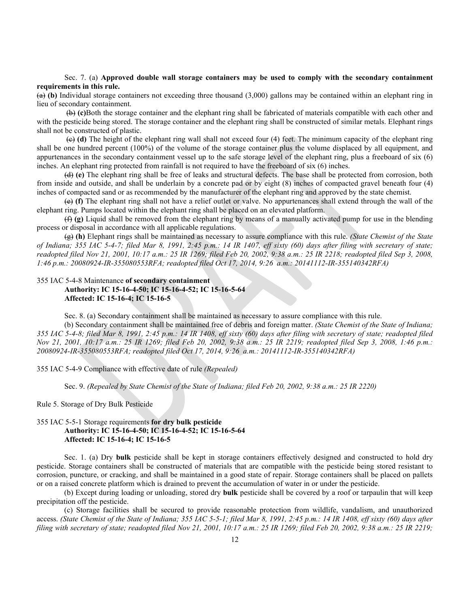#### Sec. 7. (a) **Approved double wall storage containers may be used to comply with the secondary containment requirements in this rule.**

(a) **(b)** Individual storage containers not exceeding three thousand (3,000) gallons may be contained within an elephant ring in lieu of secondary containment.

(b) **(c)**Both the storage container and the elephant ring shall be fabricated of materials compatible with each other and with the pesticide being stored. The storage container and the elephant ring shall be constructed of similar metals. Elephant rings shall not be constructed of plastic.

(c) **(d)** The height of the elephant ring wall shall not exceed four (4) feet. The minimum capacity of the elephant ring shall be one hundred percent (100%) of the volume of the storage container plus the volume displaced by all equipment, and appurtenances in the secondary containment vessel up to the safe storage level of the elephant ring, plus a freeboard of six (6) inches. An elephant ring protected from rainfall is not required to have the freeboard of six (6) inches.

(d) **(e)** The elephant ring shall be free of leaks and structural defects. The base shall be protected from corrosion, both from inside and outside, and shall be underlain by a concrete pad or by eight (8) inches of compacted gravel beneath four (4) inches of compacted sand or as recommended by the manufacturer of the elephant ring and approved by the state chemist.

(e) **(f)** The elephant ring shall not have a relief outlet or valve. No appurtenances shall extend through the wall of the elephant ring. Pumps located within the elephant ring shall be placed on an elevated platform.

(f) **(g)** Liquid shall be removed from the elephant ring by means of a manually activated pump for use in the blending process or disposal in accordance with all applicable regulations.

(g) **(h)** Elephant rings shall be maintained as necessary to assure compliance with this rule. *(State Chemist of the State of Indiana; 355 IAC 5-4-7; filed Mar 8, 1991, 2:45 p.m.: 14 IR 1407, eff sixty (60) days after filing with secretary of state; readopted filed Nov 21, 2001, 10:17 a.m.: 25 IR 1269; filed Feb 20, 2002, 9:38 a.m.: 25 IR 2218; readopted filed Sep 3, 2008, 1:46 p.m.: 20080924-IR-355080553RFA; readopted filed Oct 17, 2014, 9:26 a.m.: 20141112-IR-355140342RFA)*

#### 355 IAC 5-4-8 Maintenance **of secondary containment**

**Authority: IC 15-16-4-50; IC 15-16-4-52; IC 15-16-5-64 Affected: IC 15-16-4; IC 15-16-5**

Sec. 8. (a) Secondary containment shall be maintained as necessary to assure compliance with this rule.

(b) Secondary containment shall be maintained free of debris and foreign matter. *(State Chemist of the State of Indiana; 355 IAC 5-4-8; filed Mar 8, 1991, 2:45 p.m.: 14 IR 1408, eff sixty (60) days after filing with secretary of state; readopted filed Nov 21, 2001, 10:17 a.m.: 25 IR 1269; filed Feb 20, 2002, 9:38 a.m.: 25 IR 2219; readopted filed Sep 3, 2008, 1:46 p.m.: 20080924-IR-355080553RFA; readopted filed Oct 17, 2014, 9:26 a.m.: 20141112-IR-355140342RFA)*

355 IAC 5-4-9 Compliance with effective date of rule *(Repealed)*

Sec. 9. *(Repealed by State Chemist of the State of Indiana; filed Feb 20, 2002, 9:38 a.m.: 25 IR 2220)*

Rule 5. Storage of Dry Bulk Pesticide

# 355 IAC 5-5-1 Storage requirements **for dry bulk pesticide Authority: IC 15-16-4-50; IC 15-16-4-52; IC 15-16-5-64 Affected: IC 15-16-4; IC 15-16-5**

Sec. 1. (a) Dry **bulk** pesticide shall be kept in storage containers effectively designed and constructed to hold dry pesticide. Storage containers shall be constructed of materials that are compatible with the pesticide being stored resistant to corrosion, puncture, or cracking, and shall be maintained in a good state of repair. Storage containers shall be placed on pallets or on a raised concrete platform which is drained to prevent the accumulation of water in or under the pesticide.

(b) Except during loading or unloading, stored dry **bulk** pesticide shall be covered by a roof or tarpaulin that will keep precipitation off the pesticide.

(c) Storage facilities shall be secured to provide reasonable protection from wildlife, vandalism, and unauthorized access. *(State Chemist of the State of Indiana; 355 IAC 5-5-1; filed Mar 8, 1991, 2:45 p.m.: 14 IR 1408, eff sixty (60) days after filing with secretary of state; readopted filed Nov 21, 2001, 10:17 a.m.: 25 IR 1269; filed Feb 20, 2002, 9:38 a.m.: 25 IR 2219;*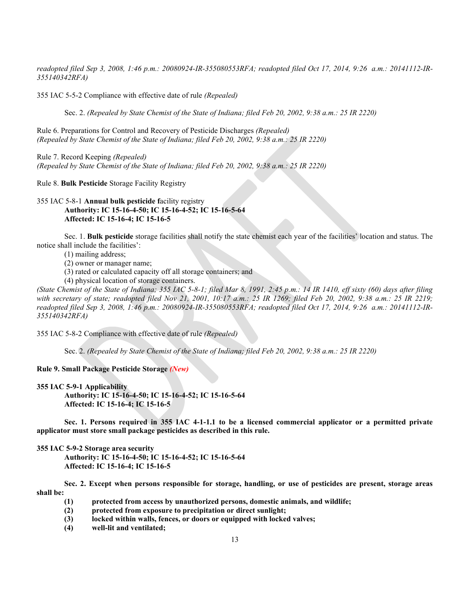*readopted filed Sep 3, 2008, 1:46 p.m.: 20080924-IR-355080553RFA; readopted filed Oct 17, 2014, 9:26 a.m.: 20141112-IR-355140342RFA)*

355 IAC 5-5-2 Compliance with effective date of rule *(Repealed)*

Sec. 2. *(Repealed by State Chemist of the State of Indiana; filed Feb 20, 2002, 9:38 a.m.: 25 IR 2220)*

Rule 6. Preparations for Control and Recovery of Pesticide Discharges *(Repealed) (Repealed by State Chemist of the State of Indiana; filed Feb 20, 2002, 9:38 a.m.: 25 IR 2220)*

Rule 7. Record Keeping *(Repealed) (Repealed by State Chemist of the State of Indiana; filed Feb 20, 2002, 9:38 a.m.: 25 IR 2220)*

Rule 8. **Bulk Pesticide** Storage Facility Registry

# 355 IAC 5-8-1 **Annual bulk pesticide f**acility registry **Authority: IC 15-16-4-50; IC 15-16-4-52; IC 15-16-5-64 Affected: IC 15-16-4; IC 15-16-5**

Sec. 1. **Bulk pesticide** storage facilities shall notify the state chemist each year of the facilities' location and status. The notice shall include the facilities':

(1) mailing address;

(2) owner or manager name;

- (3) rated or calculated capacity off all storage containers; and
- (4) physical location of storage containers.

*(State Chemist of the State of Indiana; 355 IAC 5-8-1; filed Mar 8, 1991, 2:45 p.m.: 14 IR 1410, eff sixty (60) days after filing with secretary of state; readopted filed Nov 21, 2001, 10:17 a.m.: 25 IR 1269; filed Feb 20, 2002, 9:38 a.m.: 25 IR 2219; readopted filed Sep 3, 2008, 1:46 p.m.: 20080924-IR-355080553RFA; readopted filed Oct 17, 2014, 9:26 a.m.: 20141112-IR-355140342RFA)*

355 IAC 5-8-2 Compliance with effective date of rule *(Repealed)*

Sec. 2. *(Repealed by State Chemist of the State of Indiana; filed Feb 20, 2002, 9:38 a.m.: 25 IR 2220)*

### **Rule 9. Small Package Pesticide Storage** *(New)*

**355 IAC 5-9-1 Applicability**

**Authority: IC 15-16-4-50; IC 15-16-4-52; IC 15-16-5-64 Affected: IC 15-16-4; IC 15-16-5**

**Sec. 1. Persons required in 355 IAC 4-1-1.1 to be a licensed commercial applicator or a permitted private applicator must store small package pesticides as described in this rule.**

#### **355 IAC 5-9-2 Storage area security**

**Authority: IC 15-16-4-50; IC 15-16-4-52; IC 15-16-5-64 Affected: IC 15-16-4; IC 15-16-5**

**Sec. 2. Except when persons responsible for storage, handling, or use of pesticides are present, storage areas shall be:**

- **(1) protected from access by unauthorized persons, domestic animals, and wildlife;**
- **(2) protected from exposure to precipitation or direct sunlight;**
- **(3) locked within walls, fences, or doors or equipped with locked valves;**
- **(4) well-lit and ventilated;**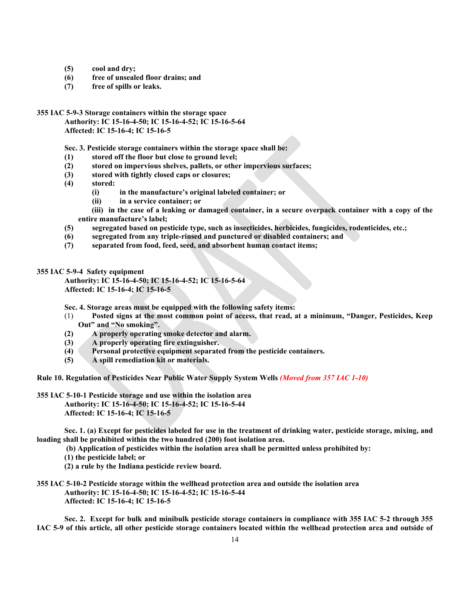- **(5) cool and dry;**
- **(6) free of unsealed floor drains; and**
- **(7) free of spills or leaks.**
- **355 IAC 5-9-3 Storage containers within the storage space**

**Authority: IC 15-16-4-50; IC 15-16-4-52; IC 15-16-5-64 Affected: IC 15-16-4; IC 15-16-5**

**Sec. 3. Pesticide storage containers within the storage space shall be:**

- **(1) stored off the floor but close to ground level;**
- **(2) stored on impervious shelves, pallets, or other impervious surfaces;**
- **(3) stored with tightly closed caps or closures;**
- **(4) stored:**
	- **(i) in the manufacture's original labeled container; or**
	- **(ii) in a service container; or**
	- **(iii) in the case of a leaking or damaged container, in a secure overpack container with a copy of the entire manufacture's label;**
- **(5) segregated based on pesticide type, such as insecticides, herbicides, fungicides, rodenticides, etc.;**
- **(6) segregated from any triple-rinsed and punctured or disabled containers; and**
- **(7) separated from food, feed, seed, and absorbent human contact items;**

### **355 IAC 5-9-4 Safety equipment**

**Authority: IC 15-16-4-50; IC 15-16-4-52; IC 15-16-5-64 Affected: IC 15-16-4; IC 15-16-5**

**Sec. 4. Storage areas must be equipped with the following safety items:**

- (1) **Posted signs at the most common point of access, that read, at a minimum, "Danger, Pesticides, Keep Out" and "No smoking".**
- **(2) A properly operating smoke detector and alarm.**
- **(3) A properly operating fire extinguisher.**
- **(4) Personal protective equipment separated from the pesticide containers.**
- **(5) A spill remediation kit or materials.**

**Rule 10. Regulation of Pesticides Near Public Water Supply System Wells** *(Moved from 357 IAC 1-10)*

**355 IAC 5-10-1 Pesticide storage and use within the isolation area Authority: IC 15-16-4-50; IC 15-16-4-52; IC 15-16-5-44 Affected: IC 15-16-4; IC 15-16-5**

**Sec. 1. (a) Except for pesticides labeled for use in the treatment of drinking water, pesticide storage, mixing, and loading shall be prohibited within the two hundred (200) foot isolation area.**

**(b) Application of pesticides within the isolation area shall be permitted unless prohibited by:**

- **(1) the pesticide label; or**
- **(2) a rule by the Indiana pesticide review board.**
- **355 IAC 5-10-2 Pesticide storage within the wellhead protection area and outside the isolation area Authority: IC 15-16-4-50; IC 15-16-4-52; IC 15-16-5-44 Affected: IC 15-16-4; IC 15-16-5**

**Sec. 2. Except for bulk and minibulk pesticide storage containers in compliance with 355 IAC 5-2 through 355 IAC 5-9 of this article, all other pesticide storage containers located within the wellhead protection area and outside of**